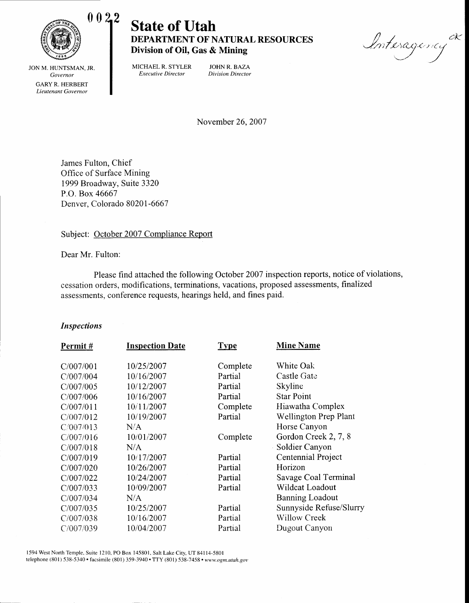

# **State of Utah DEPARTMENT OF NATURAL RESOURCES** Division of Oil, Gas & Mining

Interagency  $\smile$   $\smile$ dK

JON M. HUNTSMAN, JR. Governor GARYR. HERBERT Lieutenant Governor

MICHAEL R. STYLER JOHN R. BAZA Executive Director Division Director

November 26.2007

James Fulton, Chief Office of Surface Mining 1999 Broadway, Suite 3320 P.O. Box 46667 Denver, Colorado 80201-6667

## Subject: October 2007 Compliance Report

Dear Mr. Fulton:

Please find attached the following October 2007 inspection reports, notice of violations, cessation orders, modifications, terminations, vacations, proposed assessments, finalized assessments, conference requests, hearings held, and fines paid.

### Inspections

| Permit#   | <b>Inspection Date</b> | <b>Type</b> | <b>Mine Name</b>             |
|-----------|------------------------|-------------|------------------------------|
| C/007/001 | 10/25/2007             | Complete    | White Oak                    |
| C/007/004 | 10/16/2007             | Partial     | Castle Gate                  |
| C/007/005 | 10/12/2007             | Partial     | Skyline                      |
| C/007/006 | 10/16/2007             | Partial     | <b>Star Point</b>            |
| C/007/011 | 10/11/2007             | Complete    | Hiawatha Complex             |
| C/007/012 | 10/19/2007             | Partial     | <b>Wellington Prep Plant</b> |
| C/007/013 | N/A                    |             | Horse Canyon                 |
| C/007/016 | 10/01/2007             | Complete    | Gordon Creek 2, 7, 8         |
| C/007/018 | N/A                    |             | Soldier Canyon               |
| C/007/019 | 10/17/2007             | Partial     | Centennial Project           |
| C/007/020 | 10/26/2007             | Partial     | Horizon                      |
| C/007/022 | 10/24/2007             | Partial     | Savage Coal Terminal         |
| C/007/033 | 10/09/2007             | Partial     | Wildcat Loadout              |
| C/007/034 | N/A                    |             | <b>Banning Loadout</b>       |
| C/007/035 | 10/25/2007             | Partial     | Sunnyside Refuse/Slurry      |
| C/007/038 | 10/16/2007             | Partial     | <b>Willow Creek</b>          |
| C/007/039 | 10/04/2007             | Partial     | Dugout Canyon                |

1594 West North Temple, Suite 1210, PO Box 145801, Salt Lake Ciry, UT 841l4-5801 telephone (801) 538-5340 · facsimile (801) 359-3940 · TTY (801) 538-7458 · www.ogm.utah.gov